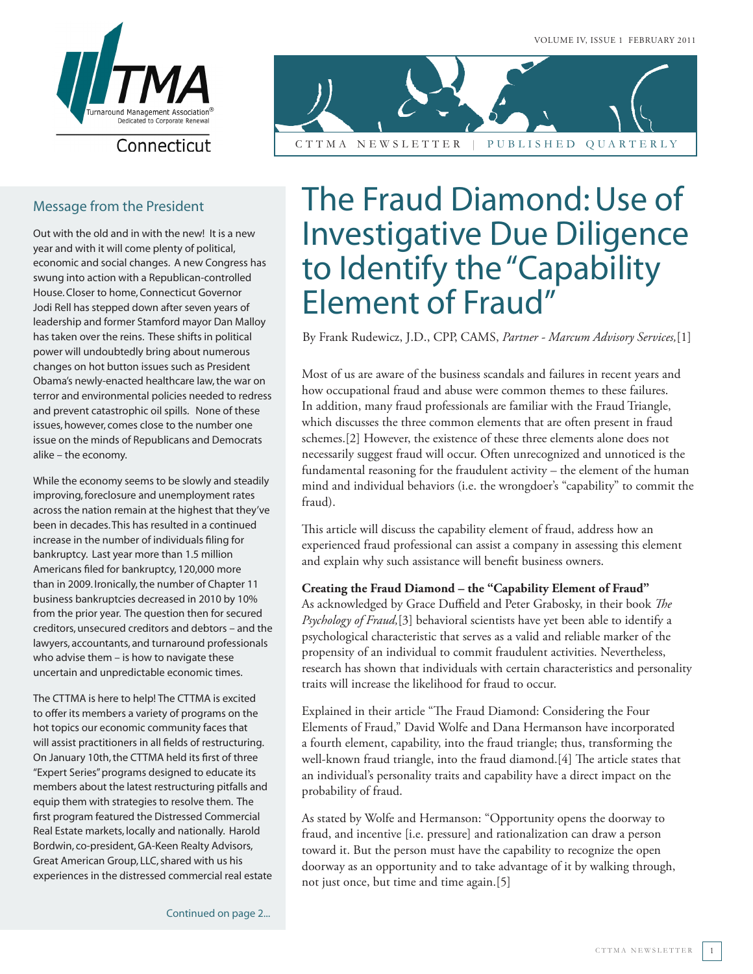

## Connecticut

## Message from the President

Out with the old and in with the new! It is a new year and with it will come plenty of political, economic and social changes. A new Congress has swung into action with a Republican-controlled House. Closer to home, Connecticut Governor Jodi Rell has stepped down after seven years of leadership and former Stamford mayor Dan Malloy has taken over the reins. These shifts in political power will undoubtedly bring about numerous changes on hot button issues such as President Obama's newly-enacted healthcare law, the war on terror and environmental policies needed to redress and prevent catastrophic oil spills. None of these issues, however, comes close to the number one issue on the minds of Republicans and Democrats alike – the economy.

While the economy seems to be slowly and steadily improving, foreclosure and unemployment rates across the nation remain at the highest that they've been in decades. This has resulted in a continued increase in the number of individuals filing for bankruptcy. Last year more than 1.5 million Americans filed for bankruptcy, 120,000 more than in 2009. Ironically, the number of Chapter 11 business bankruptcies decreased in 2010 by 10% from the prior year. The question then for secured creditors, unsecured creditors and debtors – and the lawyers, accountants, and turnaround professionals who advise them – is how to navigate these uncertain and unpredictable economic times.

The CTTMA is here to help! The CTTMA is excited to offer its members a variety of programs on the hot topics our economic community faces that will assist practitioners in all fields of restructuring. On January 10th, the CTTMA held its first of three "Expert Series" programs designed to educate its members about the latest restructuring pitfalls and equip them with strategies to resolve them. The first program featured the Distressed Commercial Real Estate markets, locally and nationally. Harold Bordwin, co-president, GA-Keen Realty Advisors, Great American Group, LLC, shared with us his experiences in the distressed commercial real estate



## The Fraud Diamond: Use of Investigative Due Diligence to Identify the "Capability Element of Fraud"

By Frank Rudewicz, J.D., CPP, CAMS, *Partner - Marcum Advisory Services,*[1]

Most of us are aware of the business scandals and failures in recent years and how occupational fraud and abuse were common themes to these failures. In addition, many fraud professionals are familiar with the Fraud Triangle, which discusses the three common elements that are often present in fraud schemes.[2] However, the existence of these three elements alone does not necessarily suggest fraud will occur. Often unrecognized and unnoticed is the fundamental reasoning for the fraudulent activity – the element of the human mind and individual behaviors (i.e. the wrongdoer's "capability" to commit the fraud).

This article will discuss the capability element of fraud, address how an experienced fraud professional can assist a company in assessing this element and explain why such assistance will benefit business owners.

#### **Creating the Fraud Diamond – the "Capability Element of Fraud"**

As acknowledged by Grace Duffield and Peter Grabosky, in their book *The Psychology of Fraud,*[3] behavioral scientists have yet been able to identify a psychological characteristic that serves as a valid and reliable marker of the propensity of an individual to commit fraudulent activities. Nevertheless, research has shown that individuals with certain characteristics and personality traits will increase the likelihood for fraud to occur.

Explained in their article "The Fraud Diamond: Considering the Four Elements of Fraud," David Wolfe and Dana Hermanson have incorporated a fourth element, capability, into the fraud triangle; thus, transforming the well-known fraud triangle, into the fraud diamond.[4] The article states that an individual's personality traits and capability have a direct impact on the probability of fraud.

As stated by Wolfe and Hermanson: "Opportunity opens the doorway to fraud, and incentive [i.e. pressure] and rationalization can draw a person toward it. But the person must have the capability to recognize the open doorway as an opportunity and to take advantage of it by walking through, not just once, but time and time again.[5]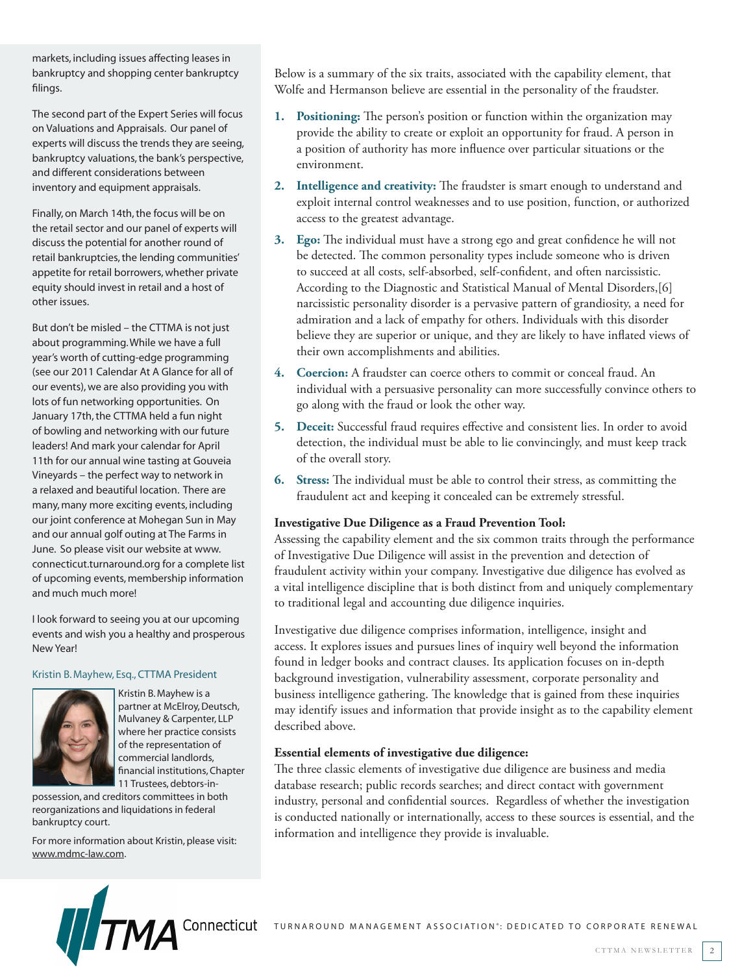markets, including issues affecting leases in bankruptcy and shopping center bankruptcy filings.

The second part of the Expert Series will focus on Valuations and Appraisals. Our panel of experts will discuss the trends they are seeing, bankruptcy valuations, the bank's perspective, and different considerations between inventory and equipment appraisals.

Finally, on March 14th, the focus will be on the retail sector and our panel of experts will discuss the potential for another round of retail bankruptcies, the lending communities' appetite for retail borrowers, whether private equity should invest in retail and a host of other issues.

But don't be misled – the CTTMA is not just about programming. While we have a full year's worth of cutting-edge programming (see our 2011 Calendar At A Glance for all of our events), we are also providing you with lots of fun networking opportunities. On January 17th, the CTTMA held a fun night of bowling and networking with our future leaders! And mark your calendar for April 11th for our annual wine tasting at Gouveia Vineyards – the perfect way to network in a relaxed and beautiful location. There are many, many more exciting events, including our joint conference at Mohegan Sun in May and our annual golf outing at The Farms in June. So please visit our website at www. connecticut.turnaround.org for a complete list of upcoming events, membership information and much much more!

I look forward to seeing you at our upcoming events and wish you a healthy and prosperous New Year!

#### Kristin B. Mayhew, Esq., CTTMA President



Kristin B. Mayhew is a partner at McElroy, Deutsch, Mulvaney & Carpenter, LLP where her practice consists of the representation of commercial landlords, financial institutions, Chapter 11 Trustees, debtors-in-

possession, and creditors committees in both reorganizations and liquidations in federal bankruptcy court.

For more information about Kristin, please visit: www.mdmc-law.com.

Below is a summary of the six traits, associated with the capability element, that Wolfe and Hermanson believe are essential in the personality of the fraudster.

- **1. Positioning:** The person's position or function within the organization may provide the ability to create or exploit an opportunity for fraud. A person in a position of authority has more influence over particular situations or the environment.
- **2. Intelligence and creativity:** The fraudster is smart enough to understand and exploit internal control weaknesses and to use position, function, or authorized access to the greatest advantage.
- **3. Ego:** The individual must have a strong ego and great confidence he will not be detected. The common personality types include someone who is driven to succeed at all costs, self-absorbed, self-confident, and often narcissistic. According to the Diagnostic and Statistical Manual of Mental Disorders,[6] narcissistic personality disorder is a pervasive pattern of grandiosity, a need for admiration and a lack of empathy for others. Individuals with this disorder believe they are superior or unique, and they are likely to have inflated views of their own accomplishments and abilities.
- **4. Coercion:** A fraudster can coerce others to commit or conceal fraud. An individual with a persuasive personality can more successfully convince others to go along with the fraud or look the other way.
- **5. Deceit:** Successful fraud requires effective and consistent lies. In order to avoid detection, the individual must be able to lie convincingly, and must keep track of the overall story.
- **6. Stress:** The individual must be able to control their stress, as committing the fraudulent act and keeping it concealed can be extremely stressful.

#### **Investigative Due Diligence as a Fraud Prevention Tool:**

Assessing the capability element and the six common traits through the performance of Investigative Due Diligence will assist in the prevention and detection of fraudulent activity within your company. Investigative due diligence has evolved as a vital intelligence discipline that is both distinct from and uniquely complementary to traditional legal and accounting due diligence inquiries.

Investigative due diligence comprises information, intelligence, insight and access. It explores issues and pursues lines of inquiry well beyond the information found in ledger books and contract clauses. Its application focuses on in-depth background investigation, vulnerability assessment, corporate personality and business intelligence gathering. The knowledge that is gained from these inquiries may identify issues and information that provide insight as to the capability element described above.

#### **Essential elements of investigative due diligence:**

The three classic elements of investigative due diligence are business and media database research; public records searches; and direct contact with government industry, personal and confidential sources. Regardless of whether the investigation is conducted nationally or internationally, access to these sources is essential, and the information and intelligence they provide is invaluable.

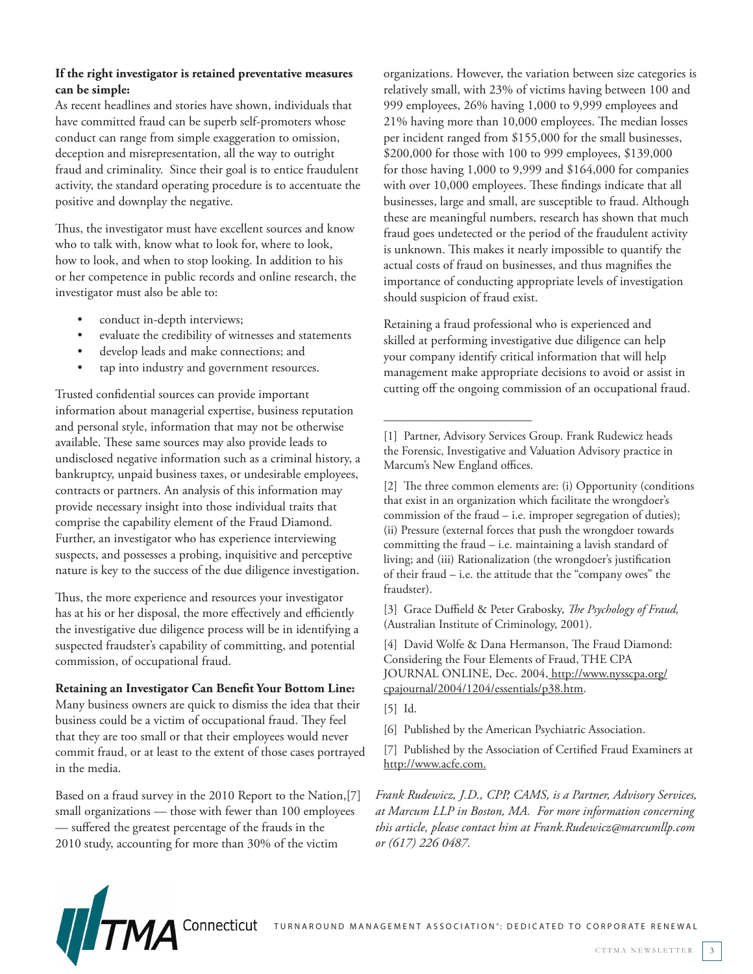### **If the right investigator is retained preventative measures can be simple:**

As recent headlines and stories have shown, individuals that have committed fraud can be superb self-promoters whose conduct can range from simple exaggeration to omission, deception and misrepresentation, all the way to outright fraud and criminality. Since their goal is to entice fraudulent activity, the standard operating procedure is to accentuate the positive and downplay the negative.

Thus, the investigator must have excellent sources and know who to talk with, know what to look for, where to look, how to look, and when to stop looking. In addition to his or her competence in public records and online research, the investigator must also be able to:

- conduct in-depth interviews;
- evaluate the credibility of witnesses and statements
- develop leads and make connections; and
- tap into industry and government resources.

Trusted confidential sources can provide important information about managerial expertise, business reputation and personal style, information that may not be otherwise available. These same sources may also provide leads to undisclosed negative information such as a criminal history, a bankruptcy, unpaid business taxes, or undesirable employees, contracts or partners. An analysis of this information may provide necessary insight into those individual traits that comprise the capability element of the Fraud Diamond. Further, an investigator who has experience interviewing suspects, and possesses a probing, inquisitive and perceptive nature is key to the success of the due diligence investigation.

Thus, the more experience and resources your investigator has at his or her disposal, the more effectively and efficiently the investigative due diligence process will be in identifying a suspected fraudster's capability of committing, and potential commission, of occupational fraud.

**Retaining an Investigator Can Benefit Your Bottom Line:**  Many business owners are quick to dismiss the idea that their business could be a victim of occupational fraud. They feel that they are too small or that their employees would never commit fraud, or at least to the extent of those cases portrayed in the media.

Based on a fraud survey in the 2010 Report to the Nation,[7] small organizations — those with fewer than 100 employees — suffered the greatest percentage of the frauds in the 2010 study, accounting for more than 30% of the victim

organizations. However, the variation between size categories is relatively small, with 23% of victims having between 100 and 999 employees, 26% having 1,000 to 9,999 employees and 21% having more than 10,000 employees. The median losses per incident ranged from \$155,000 for the small businesses, \$200,000 for those with 100 to 999 employees, \$139,000 for those having 1,000 to 9,999 and \$164,000 for companies with over 10,000 employees. These findings indicate that all businesses, large and small, are susceptible to fraud. Although these are meaningful numbers, research has shown that much fraud goes undetected or the period of the fraudulent activity is unknown. This makes it nearly impossible to quantify the actual costs of fraud on businesses, and thus magnifies the importance of conducting appropriate levels of investigation should suspicion of fraud exist.

Retaining a fraud professional who is experienced and skilled at performing investigative due diligence can help your company identify critical information that will help management make appropriate decisions to avoid or assist in cutting off the ongoing commission of an occupational fraud.

\_\_\_\_\_\_\_\_\_\_\_\_\_\_\_\_\_\_\_\_\_\_\_

[2] The three common elements are: (i) Opportunity (conditions that exist in an organization which facilitate the wrongdoer's commission of the fraud – i.e. improper segregation of duties); (ii) Pressure (external forces that push the wrongdoer towards committing the fraud – i.e. maintaining a lavish standard of living; and (iii) Rationalization (the wrongdoer's justification of their fraud – i.e. the attitude that the "company owes" the fraudster).

[3] Grace Duffield & Peter Grabosky, *The Psychology of Fraud,*  (Australian Institute of Criminology, 2001).

[4] David Wolfe & Dana Hermanson, The Fraud Diamond: Considering the Four Elements of Fraud, THE CPA JOURNAL ONLINE, Dec. 2004, http://www.nysscpa.org/ cpajournal/2004/1204/essentials/p38.htm.

[5] Id.

[6] Published by the American Psychiatric Association.

[7] Published by the Association of Certified Fraud Examiners at http://www.acfe.com.

*Frank Rudewicz, J.D., CPP, CAMS, is a Partner, Advisory Services, at Marcum LLP in Boston, MA. For more information concerning this article, please contact him at Frank.Rudewicz@marcumllp.com or (617) 226 0487.* 



<sup>[1]</sup> Partner, Advisory Services Group. Frank Rudewicz heads the Forensic, Investigative and Valuation Advisory practice in Marcum's New England offices.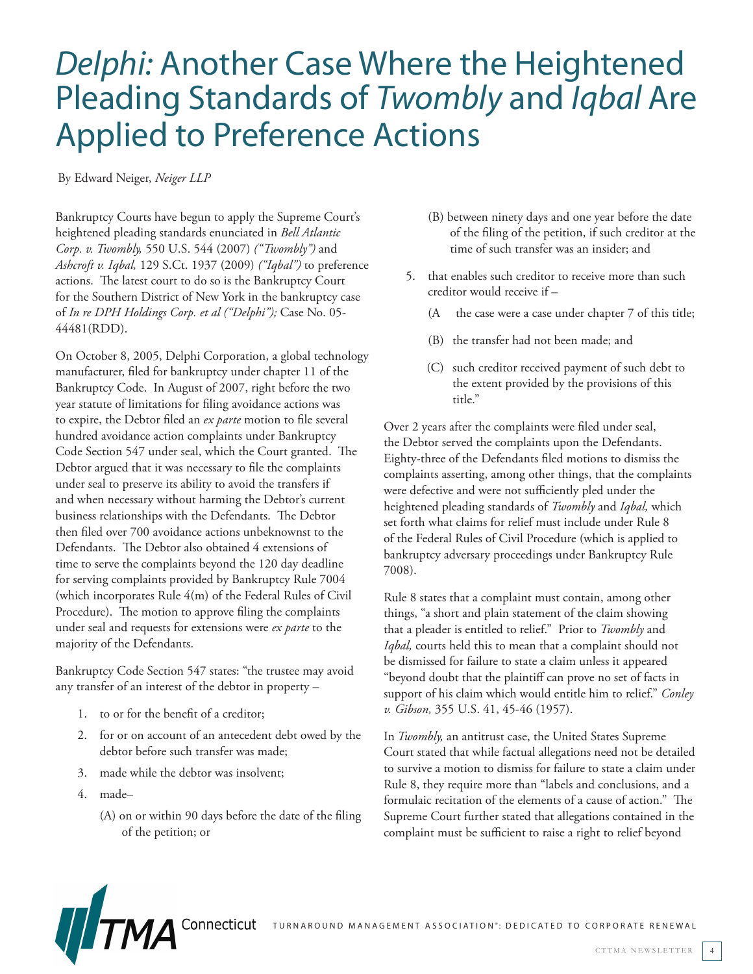## *Delphi:* Another Case Where the Heightened Pleading Standards of *Twombly* and *Iqbal* Are Applied to Preference Actions

By Edward Neiger, *Neiger LLP*

Bankruptcy Courts have begun to apply the Supreme Court's heightened pleading standards enunciated in *Bell Atlantic Corp. v. Twombly,* 550 U.S. 544 (2007) *("Twombly")* and *Ashcroft v. Iqbal,* 129 S.Ct. 1937 (2009) *("Iqbal")* to preference actions. The latest court to do so is the Bankruptcy Court for the Southern District of New York in the bankruptcy case of *In re DPH Holdings Corp. et al ("Delphi");* Case No. 05- 44481(RDD).

On October 8, 2005, Delphi Corporation, a global technology manufacturer, filed for bankruptcy under chapter 11 of the Bankruptcy Code. In August of 2007, right before the two year statute of limitations for filing avoidance actions was to expire, the Debtor filed an *ex parte* motion to file several hundred avoidance action complaints under Bankruptcy Code Section 547 under seal, which the Court granted. The Debtor argued that it was necessary to file the complaints under seal to preserve its ability to avoid the transfers if and when necessary without harming the Debtor's current business relationships with the Defendants. The Debtor then filed over 700 avoidance actions unbeknownst to the Defendants. The Debtor also obtained 4 extensions of time to serve the complaints beyond the 120 day deadline for serving complaints provided by Bankruptcy Rule 7004 (which incorporates Rule 4(m) of the Federal Rules of Civil Procedure). The motion to approve filing the complaints under seal and requests for extensions were *ex parte* to the majority of the Defendants.

Bankruptcy Code Section 547 states: "the trustee may avoid any transfer of an interest of the debtor in property –

- 1. to or for the benefit of a creditor;
- 2. for or on account of an antecedent debt owed by the debtor before such transfer was made;
- 3. made while the debtor was insolvent;
- 4. made–
	- (A) on or within 90 days before the date of the filing of the petition; or
- (B) between ninety days and one year before the date of the filing of the petition, if such creditor at the time of such transfer was an insider; and
- 5. that enables such creditor to receive more than such creditor would receive if –
	- (A the case were a case under chapter 7 of this title;
	- (B) the transfer had not been made; and
	- (C) such creditor received payment of such debt to the extent provided by the provisions of this title."

Over 2 years after the complaints were filed under seal, the Debtor served the complaints upon the Defendants. Eighty-three of the Defendants filed motions to dismiss the complaints asserting, among other things, that the complaints were defective and were not sufficiently pled under the heightened pleading standards of *Twombly* and *Iqbal,* which set forth what claims for relief must include under Rule 8 of the Federal Rules of Civil Procedure (which is applied to bankruptcy adversary proceedings under Bankruptcy Rule 7008).

Rule 8 states that a complaint must contain, among other things, "a short and plain statement of the claim showing that a pleader is entitled to relief." Prior to *Twombly* and *Iqbal,* courts held this to mean that a complaint should not be dismissed for failure to state a claim unless it appeared "beyond doubt that the plaintiff can prove no set of facts in support of his claim which would entitle him to relief." *Conley v. Gibson,* 355 U.S. 41, 45-46 (1957).

In *Twombly,* an antitrust case, the United States Supreme Court stated that while factual allegations need not be detailed to survive a motion to dismiss for failure to state a claim under Rule 8, they require more than "labels and conclusions, and a formulaic recitation of the elements of a cause of action." The Supreme Court further stated that allegations contained in the complaint must be sufficient to raise a right to relief beyond



Connecticut Turnaround Management association<sup>®</sup>: dedicated to corporate renewal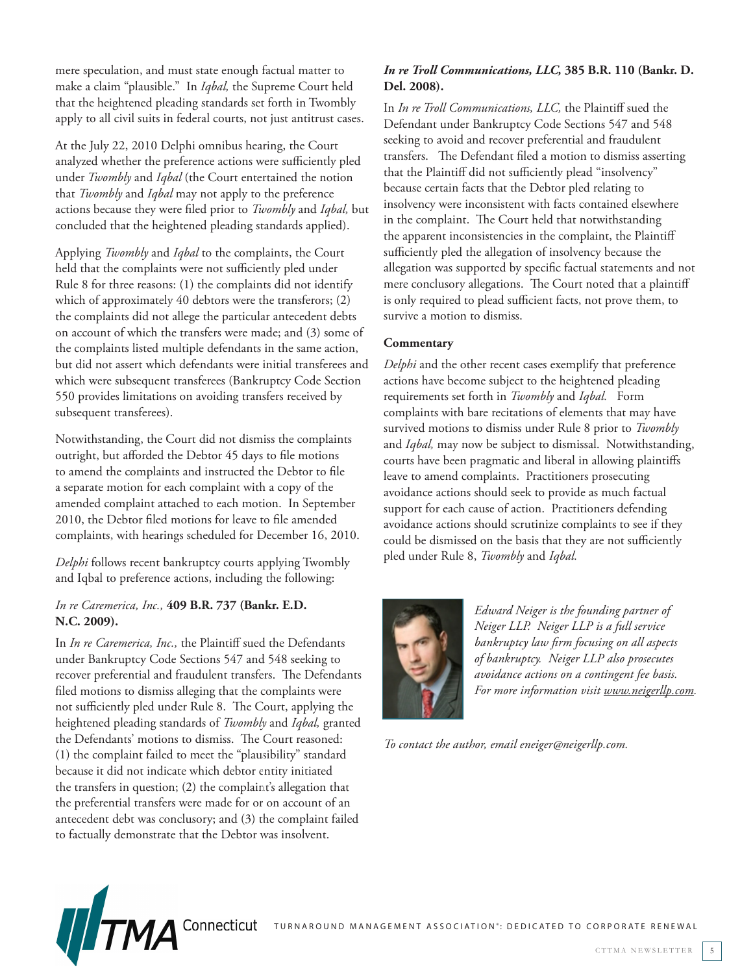mere speculation, and must state enough factual matter to make a claim "plausible." In *Iqbal,* the Supreme Court held that the heightened pleading standards set forth in Twombly apply to all civil suits in federal courts, not just antitrust cases.

At the July 22, 2010 Delphi omnibus hearing, the Court analyzed whether the preference actions were sufficiently pled under *Twombly* and *Iqbal* (the Court entertained the notion that *Twombly* and *Iqbal* may not apply to the preference actions because they were filed prior to *Twombly* and *Iqbal,* but concluded that the heightened pleading standards applied).

Applying *Twombly* and *Iqbal* to the complaints, the Court held that the complaints were not sufficiently pled under Rule 8 for three reasons: (1) the complaints did not identify which of approximately 40 debtors were the transferors; (2) the complaints did not allege the particular antecedent debts on account of which the transfers were made; and (3) some of the complaints listed multiple defendants in the same action, but did not assert which defendants were initial transferees and which were subsequent transferees (Bankruptcy Code Section 550 provides limitations on avoiding transfers received by subsequent transferees).

Notwithstanding, the Court did not dismiss the complaints outright, but afforded the Debtor 45 days to file motions to amend the complaints and instructed the Debtor to file a separate motion for each complaint with a copy of the amended complaint attached to each motion. In September 2010, the Debtor filed motions for leave to file amended complaints, with hearings scheduled for December 16, 2010.

*Delphi* follows recent bankruptcy courts applying Twombly and Iqbal to preference actions, including the following:

#### *In re Caremerica, Inc.,* **409 B.R. 737 (Bankr. E.D. N.C. 2009).**

In *In re Caremerica, Inc.,* the Plaintiff sued the Defendants under Bankruptcy Code Sections 547 and 548 seeking to recover preferential and fraudulent transfers. The Defendants filed motions to dismiss alleging that the complaints were not sufficiently pled under Rule 8. The Court, applying the heightened pleading standards of *Twombly* and *Iqbal,* granted the Defendants' motions to dismiss. The Court reasoned: (1) the complaint failed to meet the "plausibility" standard because it did not indicate which debtor entity initiated the transfers in question; (2) the complaint's allegation that the preferential transfers were made for or on account of an antecedent debt was conclusory; and (3) the complaint failed to factually demonstrate that the Debtor was insolvent.

## *In re Troll Communications, LLC,* **385 B.R. 110 (Bankr. D. Del. 2008).**

In *In re Troll Communications, LLC,* the Plaintiff sued the Defendant under Bankruptcy Code Sections 547 and 548 seeking to avoid and recover preferential and fraudulent transfers. The Defendant filed a motion to dismiss asserting that the Plaintiff did not sufficiently plead "insolvency" because certain facts that the Debtor pled relating to insolvency were inconsistent with facts contained elsewhere in the complaint. The Court held that notwithstanding the apparent inconsistencies in the complaint, the Plaintiff sufficiently pled the allegation of insolvency because the allegation was supported by specific factual statements and not mere conclusory allegations. The Court noted that a plaintiff is only required to plead sufficient facts, not prove them, to survive a motion to dismiss.

## **Commentary**

*Delphi* and the other recent cases exemplify that preference actions have become subject to the heightened pleading requirements set forth in *Twombly* and *Iqbal.* Form complaints with bare recitations of elements that may have survived motions to dismiss under Rule 8 prior to *Twombly* and *Iqbal,* may now be subject to dismissal. Notwithstanding, courts have been pragmatic and liberal in allowing plaintiffs leave to amend complaints. Practitioners prosecuting avoidance actions should seek to provide as much factual support for each cause of action. Practitioners defending avoidance actions should scrutinize complaints to see if they could be dismissed on the basis that they are not sufficiently pled under Rule 8, *Twombly* and *Iqbal.*



*Edward Neiger is the founding partner of Neiger LLP. Neiger LLP is a full service bankruptcy law firm focusing on all aspects of bankruptcy. Neiger LLP also prosecutes avoidance actions on a contingent fee basis. For more information visit www.neigerllp.com.* 

*To contact the author, email eneiger@neigerllp.com.*

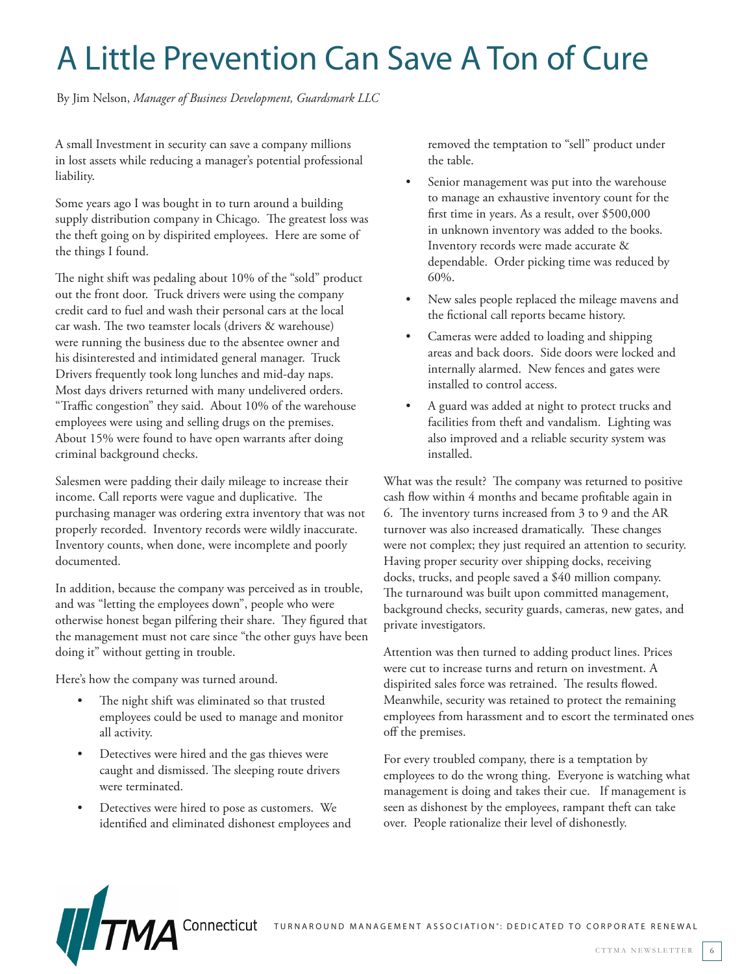# A Little Prevention Can Save A Ton of Cure

By Jim Nelson, *Manager of Business Development, Guardsmark LLC* 

A small Investment in security can save a company millions in lost assets while reducing a manager's potential professional liability.

Some years ago I was bought in to turn around a building supply distribution company in Chicago. The greatest loss was the theft going on by dispirited employees. Here are some of the things I found.

The night shift was pedaling about 10% of the "sold" product out the front door. Truck drivers were using the company credit card to fuel and wash their personal cars at the local car wash. The two teamster locals (drivers & warehouse) were running the business due to the absentee owner and his disinterested and intimidated general manager. Truck Drivers frequently took long lunches and mid-day naps. Most days drivers returned with many undelivered orders. "Traffic congestion" they said. About 10% of the warehouse employees were using and selling drugs on the premises. About 15% were found to have open warrants after doing criminal background checks.

Salesmen were padding their daily mileage to increase their income. Call reports were vague and duplicative. The purchasing manager was ordering extra inventory that was not properly recorded. Inventory records were wildly inaccurate. Inventory counts, when done, were incomplete and poorly documented.

In addition, because the company was perceived as in trouble, and was "letting the employees down", people who were otherwise honest began pilfering their share. They figured that the management must not care since "the other guys have been doing it" without getting in trouble.

Here's how the company was turned around.

- The night shift was eliminated so that trusted employees could be used to manage and monitor all activity.
- • Detectives were hired and the gas thieves were caught and dismissed. The sleeping route drivers were terminated.
- Detectives were hired to pose as customers. We identified and eliminated dishonest employees and

removed the temptation to "sell" product under the table.

- Senior management was put into the warehouse to manage an exhaustive inventory count for the first time in years. As a result, over \$500,000 in unknown inventory was added to the books. Inventory records were made accurate & dependable. Order picking time was reduced by 60%.
- New sales people replaced the mileage mavens and the fictional call reports became history.
- Cameras were added to loading and shipping areas and back doors. Side doors were locked and internally alarmed. New fences and gates were installed to control access.
- A guard was added at night to protect trucks and facilities from theft and vandalism. Lighting was also improved and a reliable security system was installed.

What was the result? The company was returned to positive cash flow within 4 months and became profitable again in 6. The inventory turns increased from 3 to 9 and the AR turnover was also increased dramatically. These changes were not complex; they just required an attention to security. Having proper security over shipping docks, receiving docks, trucks, and people saved a \$40 million company. The turnaround was built upon committed management, background checks, security guards, cameras, new gates, and private investigators.

Attention was then turned to adding product lines. Prices were cut to increase turns and return on investment. A dispirited sales force was retrained. The results flowed. Meanwhile, security was retained to protect the remaining employees from harassment and to escort the terminated ones off the premises.

For every troubled company, there is a temptation by employees to do the wrong thing. Everyone is watching what management is doing and takes their cue. If management is seen as dishonest by the employees, rampant theft can take over. People rationalize their level of dishonestly.

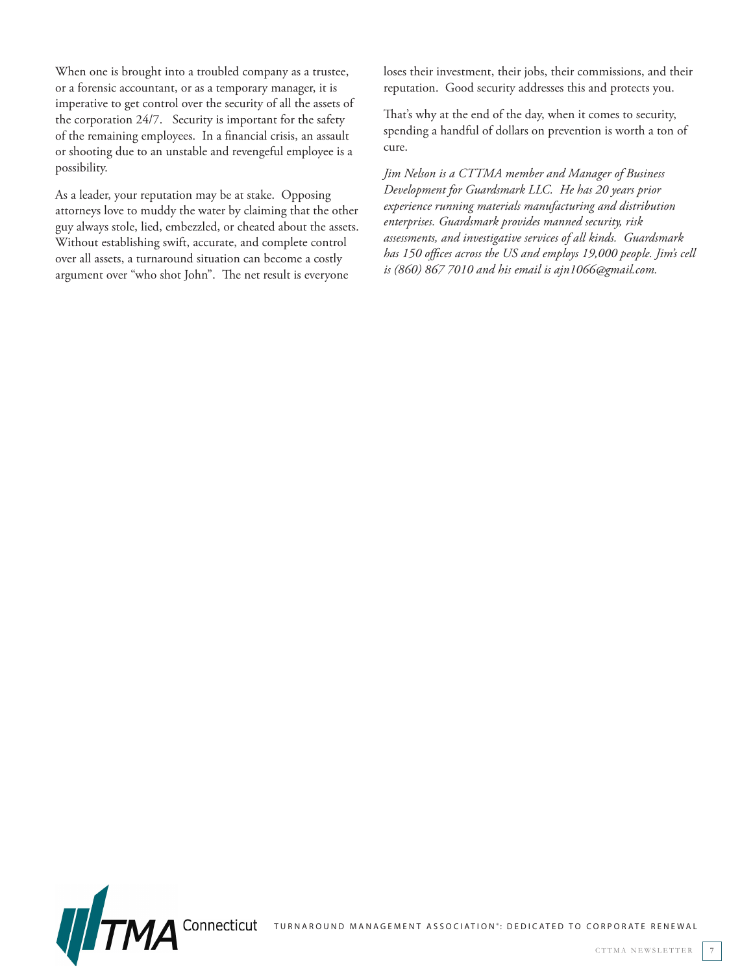When one is brought into a troubled company as a trustee, or a forensic accountant, or as a temporary manager, it is imperative to get control over the security of all the assets of the corporation 24/7. Security is important for the safety of the remaining employees. In a financial crisis, an assault or shooting due to an unstable and revengeful employee is a possibility.

As a leader, your reputation may be at stake. Opposing attorneys love to muddy the water by claiming that the other guy always stole, lied, embezzled, or cheated about the assets. Without establishing swift, accurate, and complete control over all assets, a turnaround situation can become a costly argument over "who shot John". The net result is everyone

loses their investment, their jobs, their commissions, and their reputation. Good security addresses this and protects you.

That's why at the end of the day, when it comes to security, spending a handful of dollars on prevention is worth a ton of cure.

*Jim Nelson is a CTTMA member and Manager of Business Development for Guardsmark LLC. He has 20 years prior experience running materials manufacturing and distribution enterprises. Guardsmark provides manned security, risk assessments, and investigative services of all kinds. Guardsmark has 150 offices across the US and employs 19,000 people. Jim's cell is (860) 867 7010 and his email is ajn1066@gmail.com.*

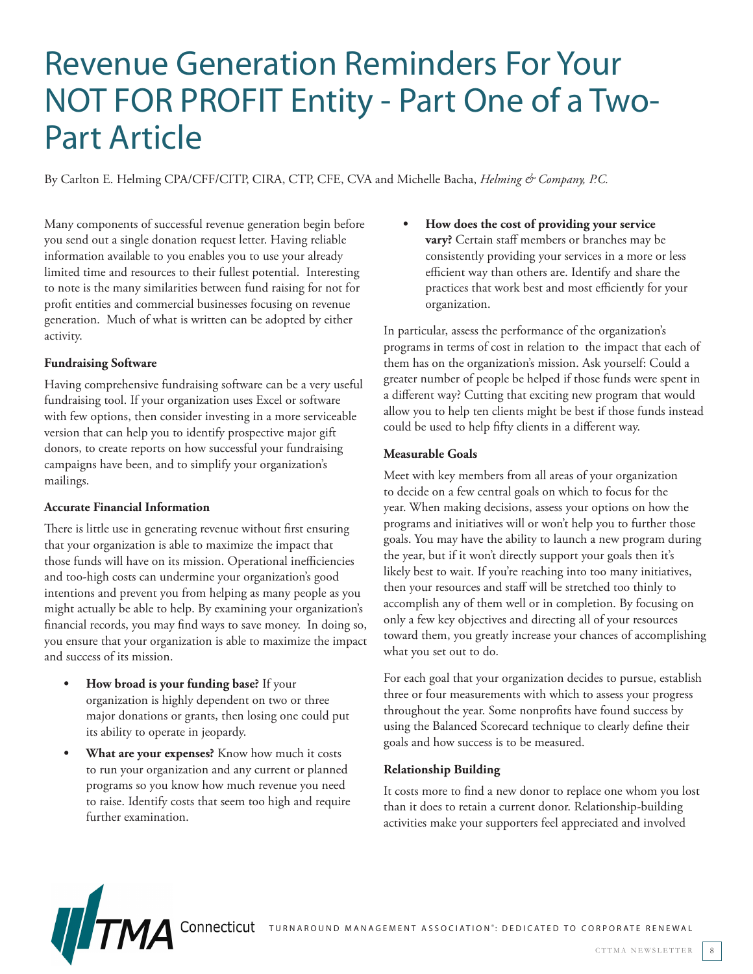## Revenue Generation Reminders For Your NOT FOR PROFIT Entity - Part One of a Two-Part Article

By Carlton E. Helming CPA/CFF/CITP, CIRA, CTP, CFE, CVA and Michelle Bacha, *Helming & Company, P.C.* 

Many components of successful revenue generation begin before you send out a single donation request letter. Having reliable information available to you enables you to use your already limited time and resources to their fullest potential. Interesting to note is the many similarities between fund raising for not for profit entities and commercial businesses focusing on revenue generation. Much of what is written can be adopted by either activity.

#### **Fundraising Software**

Having comprehensive fundraising software can be a very useful fundraising tool. If your organization uses Excel or software with few options, then consider investing in a more serviceable version that can help you to identify prospective major gift donors, to create reports on how successful your fundraising campaigns have been, and to simplify your organization's mailings.

#### **Accurate Financial Information**

There is little use in generating revenue without first ensuring that your organization is able to maximize the impact that those funds will have on its mission. Operational inefficiencies and too-high costs can undermine your organization's good intentions and prevent you from helping as many people as you might actually be able to help. By examining your organization's financial records, you may find ways to save money. In doing so, you ensure that your organization is able to maximize the impact and success of its mission.

- **• How broad is your funding base?** If your organization is highly dependent on two or three major donations or grants, then losing one could put its ability to operate in jeopardy.
- **What are your expenses?** Know how much it costs to run your organization and any current or planned programs so you know how much revenue you need to raise. Identify costs that seem too high and require further examination.

How does the cost of providing your service **vary?** Certain staff members or branches may be consistently providing your services in a more or less efficient way than others are. Identify and share the practices that work best and most efficiently for your organization.

In particular, assess the performance of the organization's programs in terms of cost in relation to the impact that each of them has on the organization's mission. Ask yourself: Could a greater number of people be helped if those funds were spent in a different way? Cutting that exciting new program that would allow you to help ten clients might be best if those funds instead could be used to help fifty clients in a different way.

#### **Measurable Goals**

Meet with key members from all areas of your organization to decide on a few central goals on which to focus for the year. When making decisions, assess your options on how the programs and initiatives will or won't help you to further those goals. You may have the ability to launch a new program during the year, but if it won't directly support your goals then it's likely best to wait. If you're reaching into too many initiatives, then your resources and staff will be stretched too thinly to accomplish any of them well or in completion. By focusing on only a few key objectives and directing all of your resources toward them, you greatly increase your chances of accomplishing what you set out to do.

For each goal that your organization decides to pursue, establish three or four measurements with which to assess your progress throughout the year. Some nonprofits have found success by using the Balanced Scorecard technique to clearly define their goals and how success is to be measured.

#### **Relationship Building**

It costs more to find a new donor to replace one whom you lost than it does to retain a current donor. Relationship-building activities make your supporters feel appreciated and involved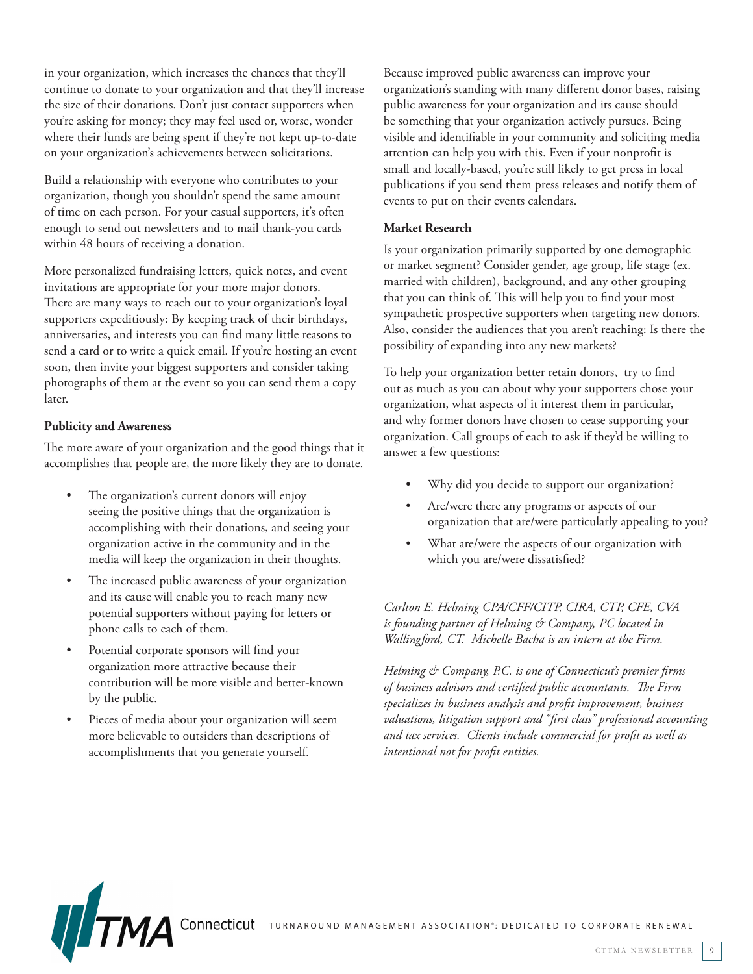in your organization, which increases the chances that they'll continue to donate to your organization and that they'll increase the size of their donations. Don't just contact supporters when you're asking for money; they may feel used or, worse, wonder where their funds are being spent if they're not kept up-to-date on your organization's achievements between solicitations.

Build a relationship with everyone who contributes to your organization, though you shouldn't spend the same amount of time on each person. For your casual supporters, it's often enough to send out newsletters and to mail thank-you cards within 48 hours of receiving a donation.

More personalized fundraising letters, quick notes, and event invitations are appropriate for your more major donors. There are many ways to reach out to your organization's loyal supporters expeditiously: By keeping track of their birthdays, anniversaries, and interests you can find many little reasons to send a card or to write a quick email. If you're hosting an event soon, then invite your biggest supporters and consider taking photographs of them at the event so you can send them a copy later.

#### **Publicity and Awareness**

The more aware of your organization and the good things that it accomplishes that people are, the more likely they are to donate.

- The organization's current donors will enjoy seeing the positive things that the organization is accomplishing with their donations, and seeing your organization active in the community and in the media will keep the organization in their thoughts.
- The increased public awareness of your organization and its cause will enable you to reach many new potential supporters without paying for letters or phone calls to each of them.
- Potential corporate sponsors will find your organization more attractive because their contribution will be more visible and better-known by the public.
- Pieces of media about your organization will seem more believable to outsiders than descriptions of accomplishments that you generate yourself.

Because improved public awareness can improve your organization's standing with many different donor bases, raising public awareness for your organization and its cause should be something that your organization actively pursues. Being visible and identifiable in your community and soliciting media attention can help you with this. Even if your nonprofit is small and locally-based, you're still likely to get press in local publications if you send them press releases and notify them of events to put on their events calendars.

#### **Market Research**

Is your organization primarily supported by one demographic or market segment? Consider gender, age group, life stage (ex. married with children), background, and any other grouping that you can think of. This will help you to find your most sympathetic prospective supporters when targeting new donors. Also, consider the audiences that you aren't reaching: Is there the possibility of expanding into any new markets?

To help your organization better retain donors, try to find out as much as you can about why your supporters chose your organization, what aspects of it interest them in particular, and why former donors have chosen to cease supporting your organization. Call groups of each to ask if they'd be willing to answer a few questions:

- Why did you decide to support our organization?
- Are/were there any programs or aspects of our organization that are/were particularly appealing to you?
- What are/were the aspects of our organization with which you are/were dissatisfied?

*Carlton E. Helming CPA/CFF/CITP, CIRA, CTP, CFE, CVA is founding partner of Helming & Company, PC located in Wallingford, CT. Michelle Bacha is an intern at the Firm.* 

*Helming & Company, P.C. is one of Connecticut's premier firms of business advisors and certified public accountants. The Firm specializes in business analysis and profit improvement, business valuations, litigation support and "first class" professional accounting and tax services. Clients include commercial for profit as well as intentional not for profit entities.*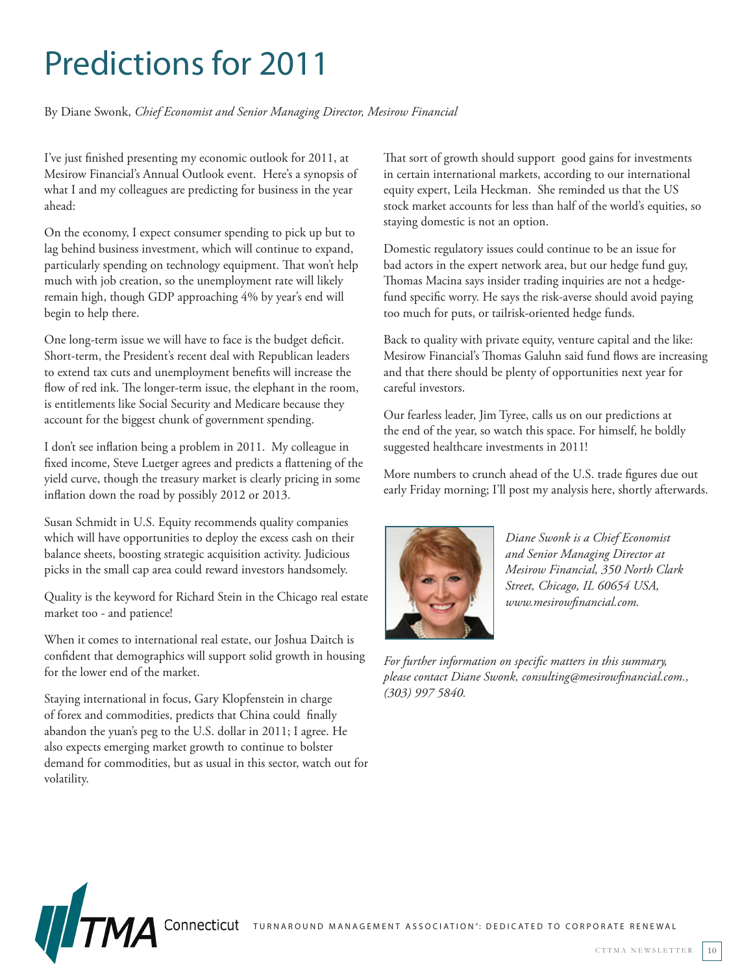# Predictions for 2011

By Diane Swonk, *Chief Economist and Senior Managing Director, Mesirow Financial* 

I've just finished presenting my economic outlook for 2011, at Mesirow Financial's Annual Outlook event. Here's a synopsis of what I and my colleagues are predicting for business in the year ahead:

On the economy, I expect consumer spending to pick up but to lag behind business investment, which will continue to expand, particularly spending on technology equipment. That won't help much with job creation, so the unemployment rate will likely remain high, though GDP approaching 4% by year's end will begin to help there.

One long-term issue we will have to face is the budget deficit. Short-term, the President's recent deal with Republican leaders to extend tax cuts and unemployment benefits will increase the flow of red ink. The longer-term issue, the elephant in the room, is entitlements like Social Security and Medicare because they account for the biggest chunk of government spending.

I don't see inflation being a problem in 2011. My colleague in fixed income, Steve Luetger agrees and predicts a flattening of the yield curve, though the treasury market is clearly pricing in some inflation down the road by possibly 2012 or 2013.

Susan Schmidt in U.S. Equity recommends quality companies which will have opportunities to deploy the excess cash on their balance sheets, boosting strategic acquisition activity. Judicious picks in the small cap area could reward investors handsomely.

Quality is the keyword for Richard Stein in the Chicago real estate market too - and patience!

When it comes to international real estate, our Joshua Daitch is confident that demographics will support solid growth in housing for the lower end of the market.

Staying international in focus, Gary Klopfenstein in charge of forex and commodities, predicts that China could finally abandon the yuan's peg to the U.S. dollar in 2011; I agree. He also expects emerging market growth to continue to bolster demand for commodities, but as usual in this sector, watch out for volatility.

That sort of growth should support good gains for investments in certain international markets, according to our international equity expert, Leila Heckman. She reminded us that the US stock market accounts for less than half of the world's equities, so staying domestic is not an option.

Domestic regulatory issues could continue to be an issue for bad actors in the expert network area, but our hedge fund guy, Thomas Macina says insider trading inquiries are not a hedgefund specific worry. He says the risk-averse should avoid paying too much for puts, or tailrisk-oriented hedge funds.

Back to quality with private equity, venture capital and the like: Mesirow Financial's Thomas Galuhn said fund flows are increasing and that there should be plenty of opportunities next year for careful investors.

Our fearless leader, Jim Tyree, calls us on our predictions at the end of the year, so watch this space. For himself, he boldly suggested healthcare investments in 2011!

More numbers to crunch ahead of the U.S. trade figures due out early Friday morning; I'll post my analysis here, shortly afterwards.



*Diane Swonk is a Chief Economist and Senior Managing Director at Mesirow Financial, 350 North Clark Street, Chicago, IL 60654 USA, www.mesirowfinancial.com.* 

*For further information on specific matters in this summary, please contact Diane Swonk, consulting@mesirowfinancial.com., (303) 997 5840.*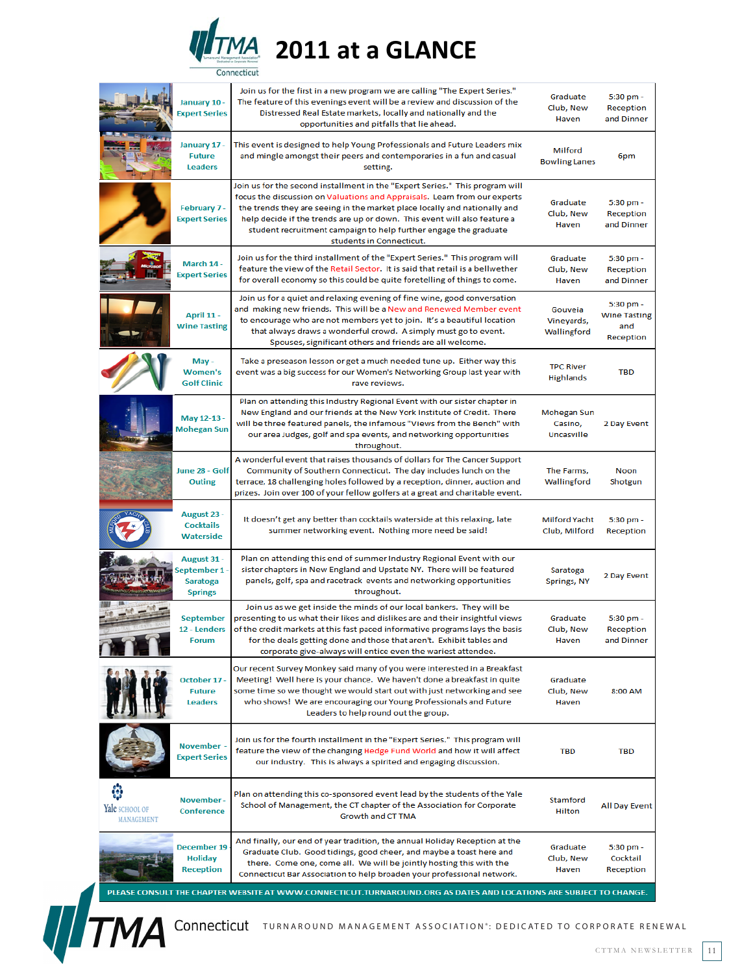

|                              | January 10 -<br><b>Expert Series</b>                            | Join us for the first in a new program we are calling "The Expert Series."<br>The feature of this evenings event will be a review and discussion of the<br>Distressed Real Estate markets, locally and nationally and the<br>opportunities and pitfalls that lie ahead.                                                                                                                                            | Graduate<br>Club, New<br>Haven        | 5:30 pm -<br>Reception<br>and Dinner                 |
|------------------------------|-----------------------------------------------------------------|--------------------------------------------------------------------------------------------------------------------------------------------------------------------------------------------------------------------------------------------------------------------------------------------------------------------------------------------------------------------------------------------------------------------|---------------------------------------|------------------------------------------------------|
|                              | January 17 -<br><b>Future</b><br><b>Leaders</b>                 | This event is designed to help Young Professionals and Future Leaders mix<br>and mingle amongst their peers and contemporaries in a fun and casual<br>setting.                                                                                                                                                                                                                                                     | Milford<br><b>Bowling Lanes</b>       | 6pm                                                  |
|                              | February 7 -<br><b>Expert Series</b>                            | Join us for the second installment in the "Expert Series." This program will<br>focus the discussion on Valuations and Appraisals. Learn from our experts<br>the trends they are seeing in the market place locally and nationally and<br>help decide if the trends are up or down. This event will also feature a<br>student recruitment campaign to help further engage the graduate<br>students in Connecticut. | Graduate<br>Club, New<br>Haven        | 5:30 pm -<br>Reception<br>and Dinner                 |
|                              | March 14 -<br><b>Expert Series</b>                              | Join us for the third installment of the "Expert Series." This program will<br>feature the view of the Retail Sector. It is said that retail is a bellwether<br>for overall economy so this could be quite foretelling of things to come.                                                                                                                                                                          | Graduate<br>Club, New<br>Haven        | 5:30 pm -<br>Reception<br>and Dinner                 |
|                              | April 11 -<br><b>Wine Tasting</b>                               | Join us for a quiet and relaxing evening of fine wine, good conversation<br>and making new friends. This will be a New and Renewed Member event<br>to encourage who are not members yet to join. It's a beautiful location<br>that always draws a wonderful crowd. A simply must go to event.<br>Spouses, significant others and friends are all welcome.                                                          | Gouveia<br>Vineyards,<br>Wallingford  | 5:30 pm -<br><b>Wine Tasting</b><br>and<br>Reception |
|                              | May -<br><b>Women's</b><br><b>Golf Clinic</b>                   | Take a preseason lesson or get a much needed tune up. Either way this<br>event was a big success for our Women's Networking Group last year with<br>rave reviews.                                                                                                                                                                                                                                                  | <b>TPC River</b><br><b>Highlands</b>  | <b>TBD</b>                                           |
|                              | May 12-13 -<br><b>Mohegan Sun</b>                               | Plan on attending this Industry Regional Event with our sister chapter in<br>New England and our friends at the New York Institute of Credit. There<br>will be three featured panels, the infamous "Views from the Bench" with<br>our area Judges, golf and spa events, and networking opportunities<br>throughout.                                                                                                | Mohegan Sun<br>Casino,<br>Uncasville  | 2 Day Event                                          |
|                              | June 28 - Golf<br><b>Outing</b>                                 | A wonderful event that raises thousands of dollars for The Cancer Support<br>Community of Southern Connecticut. The day includes lunch on the<br>terrace, 18 challenging holes followed by a reception, dinner, auction and<br>prizes. Join over 100 of your fellow golfers at a great and charitable event.                                                                                                       | The Farms,<br>Wallingford             | Noon<br>Shotgun                                      |
|                              | August 23 -<br><b>Cocktails</b><br>Waterside                    | It doesn't get any better than cocktails waterside at this relaxing, late<br>summer networking event. Nothing more need be said!                                                                                                                                                                                                                                                                                   | <b>Milford Yacht</b><br>Club, Milford | 5:30 pm -<br>Reception                               |
|                              | August 31 -<br>September 1<br><b>Saratoga</b><br><b>Springs</b> | Plan on attending this end of summer Industry Regional Event with our<br>sister chapters in New England and Upstate NY. There will be featured<br>panels, golf, spa and racetrack events and networking opportunities<br>throughout.                                                                                                                                                                               | Saratoga<br>Springs, NY               | 2 Day Event                                          |
|                              | <b>September</b><br>12 - Lenders<br><b>Forum</b>                | Join us as we get inside the minds of our local bankers. They will be<br>presenting to us what their likes and dislikes are and their insightful views<br>of the credit markets at this fast paced informative programs lays the basis<br>for the deals getting done and those that aren't. Exhibit tables and<br>corporate give-always will entice even the wariest attendee.                                     | Graduate<br>Club, New<br>Haven        | 5:30 pm -<br>Reception<br>and Dinner                 |
|                              | October 17<br><b>Future</b><br><b>Leaders</b>                   | Our recent Survey Monkey said many of you were interested in a Breakfast<br>Meeting! Well here is your chance. We haven't done a breakfast in quite<br>some time so we thought we would start out with just networking and see<br>who shows! We are encouraging our Young Professionals and Future<br>Leaders to help round out the group.                                                                         | Graduate<br>Club, New<br>Haven        | 8:00 AM                                              |
|                              | <b>November</b><br><b>Expert Series</b>                         | Join us for the fourth installment in the "Expert Series." This program will<br>feature the view of the changing Hedge Fund World and how it will affect<br>our industry. This is always a spirited and engaging discussion.                                                                                                                                                                                       | <b>TBD</b>                            | <b>TBD</b>                                           |
| Yale SCHOOL OF<br>MANAGEMENT | <b>November</b><br><b>Conference</b>                            | Plan on attending this co-sponsored event lead by the students of the Yale<br>School of Management, the CT chapter of the Association for Corporate<br>Growth and CT TMA                                                                                                                                                                                                                                           | Stamford<br><b>Hilton</b>             | <b>All Day Event</b>                                 |
|                              | <b>December 19</b><br><b>Holiday</b><br><b>Reception</b>        | And finally, our end of year tradition, the annual Holiday Reception at the<br>Graduate Club. Good tidings, good cheer, and maybe a toast here and<br>there. Come one, come all. We will be jointly hosting this with the<br>Connecticut Bar Association to help broaden your professional network.                                                                                                                | Graduate<br>Club, New<br>Haven        | 5:30 pm -<br>Cocktail<br>Reception                   |
|                              |                                                                 |                                                                                                                                                                                                                                                                                                                                                                                                                    |                                       |                                                      |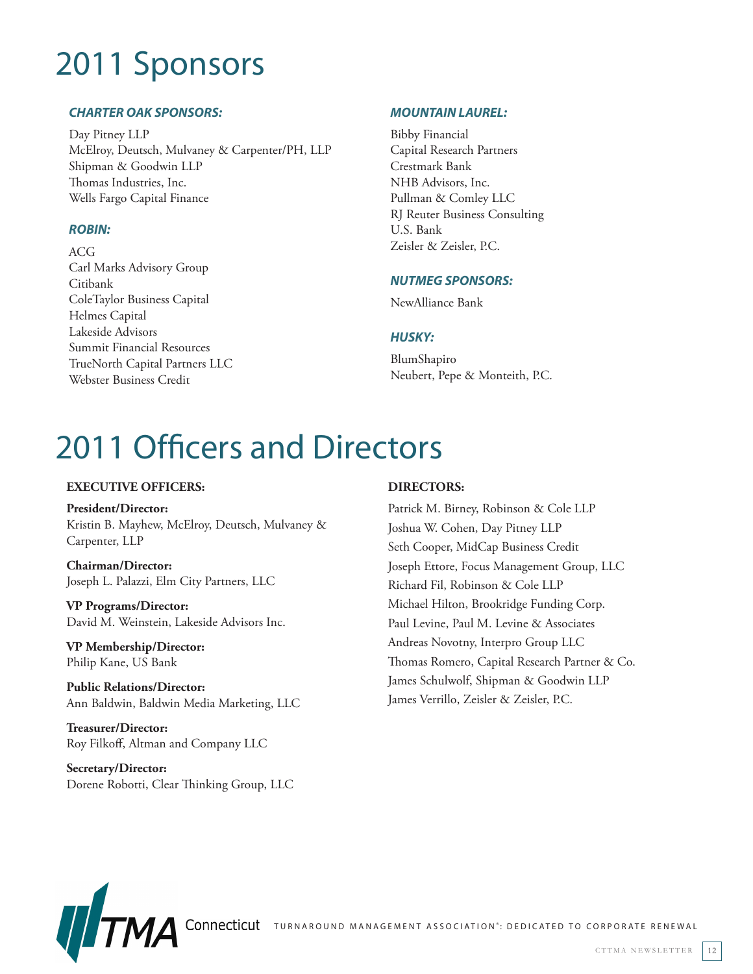# 2011 Sponsors

## *CHARTER OAK SPONSORS:*

Day Pitney LLP McElroy, Deutsch, Mulvaney & Carpenter/PH, LLP Shipman & Goodwin LLP Thomas Industries, Inc. Wells Fargo Capital Finance

## *ROBIN:*

ACG Carl Marks Advisory Group Citibank ColeTaylor Business Capital Helmes Capital Lakeside Advisors Summit Financial Resources TrueNorth Capital Partners LLC Webster Business Credit

## *MOUNTAIN LAUREL:*

Bibby Financial Capital Research Partners Crestmark Bank NHB Advisors, Inc. Pullman & Comley LLC RJ Reuter Business Consulting U.S. Bank Zeisler & Zeisler, P.C.

## *NUTMEG SPONSORS:*

NewAlliance Bank

### *HUSKY:*

BlumShapiro Neubert, Pepe & Monteith, P.C.

# 2011 Officers and Directors

### **EXECUTIVE OFFICERS:**

**President/Director:** Kristin B. Mayhew, McElroy, Deutsch, Mulvaney & Carpenter, LLP

**Chairman/Director:** Joseph L. Palazzi, Elm City Partners, LLC

**VP Programs/Director:** David M. Weinstein, Lakeside Advisors Inc.

**VP Membership/Director:** Philip Kane, US Bank

**Public Relations/Director:** Ann Baldwin, Baldwin Media Marketing, LLC

**Treasurer/Director:** Roy Filkoff, Altman and Company LLC

**Secretary/Director:** Dorene Robotti, Clear Thinking Group, LLC

## **DIRECTORS:**

Patrick M. Birney, Robinson & Cole LLP Joshua W. Cohen, Day Pitney LLP Seth Cooper, MidCap Business Credit Joseph Ettore, Focus Management Group, LLC Richard Fil, Robinson & Cole LLP Michael Hilton, Brookridge Funding Corp. Paul Levine, Paul M. Levine & Associates Andreas Novotny, Interpro Group LLC Thomas Romero, Capital Research Partner & Co. James Schulwolf, Shipman & Goodwin LLP James Verrillo, Zeisler & Zeisler, P.C.



CONNECTICUT TURNAROUND MANAGEMENT ASSOCIATION<sup>®</sup>: DEDICATED TO CORPORATE RENEWAL